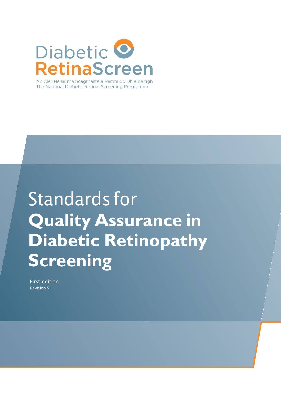

The National Diabetic Retinal Screening Programme

## Standards for **Quality Assurance in Diabetic Retinopathy Screening**

First edition Revision 5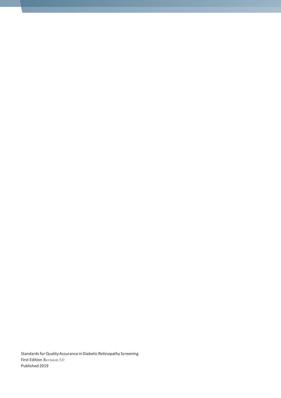Standards for Quality Assurance in Diabetic Retinopathy Screening First Edition Revision 5.0 Published 2019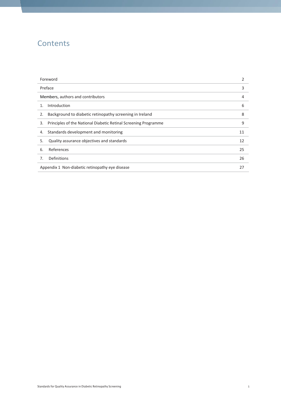## **Contents**

| Foreword                                                              | 2  |
|-----------------------------------------------------------------------|----|
| Preface                                                               | 3  |
| Members, authors and contributors                                     |    |
| Introduction<br>$1_{\cdot}$                                           | 6  |
| Background to diabetic retinopathy screening in Ireland<br>2.         | 8  |
| Principles of the National Diabetic Retinal Screening Programme<br>3. | 9  |
| Standards development and monitoring<br>4.                            | 11 |
| Quality assurance objectives and standards<br>5.                      | 12 |
| References<br>6.                                                      | 25 |
| Definitions<br>7.                                                     | 26 |
| Appendix 1 Non-diabetic retinopathy eye disease                       | 27 |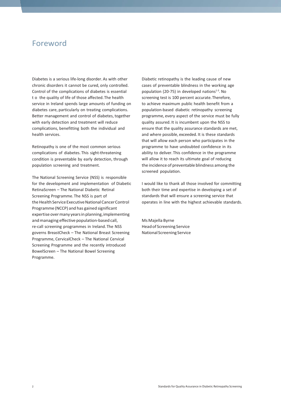## <span id="page-3-0"></span>Foreword

Diabetes is a serious life-long disorder. As with other chronic disorders it cannot be cured, only controlled. Control of the complications of diabetes is essential t o the quality of life of those affected.The health service in Ireland spends large amounts of funding on diabetes care, particularly on treating complications. Better management and control of diabetes, together with early detection and treatment will reduce complications, benefitting both the individual and health services.

Retinopathy is one of the most common serious complications of diabetes. This sight-threatening condition is preventable by early detection, through population screening and treatment.

The National Screening Service (NSS) is responsible for the development and implementation of Diabetic RetinaScreen – The National Diabetic Retinal Screening Programme.The NSS is part of the Health Service Executive National Cancer Control Programme (NCCP) and has gained significant expertise over many years in planning, implementing and managing effective population-based call, re-call screening programmes in Ireland.The NSS governs BreastCheck – The National Breast Screening Programme, CervicalCheck – The National Cervical Screening Programme and the recently introduced BowelScreen – The National Bowel Screening Programme.

Diabetic retinopathy is the leading cause of new cases of preventable blindness in the working age population (20-75) in developed nations $1-3$ . No screening test is 100 percent accurate.Therefore, to achieve maximum public health benefit from a population-based diabetic retinopathy screening programme, every aspect of the service must be fully quality assured. It is incumbent upon the NSS to ensure that the quality assurance standards are met, and where possible, exceeded. It is these standards that will allow each person who participates in the programme to have undoubted confidence in its ability to deliver.This confidence in the programme will allow it to reach its ultimate goal of reducing the incidence of preventable blindness among the screened population.

I would like to thank all those involved for committing both their time and expertise in developing a set of standards that will ensure a screening service that operates in line with the highest achievable standards.

Ms Majella Byrne Headof Screening Service NationalScreening Service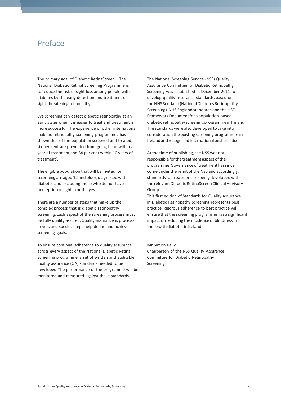### <span id="page-4-0"></span>Preface

The primary goal of Diabetic RetinaScreen – The National Diabetic Retinal Screening Programme is to reduce the risk of sight loss among people with diabetes by the early detection and treatment of sight-threatening retinopathy.

Eye screening can detect diabetic retinopathy at an early stage when it is easier to treat and treatment is more successful.The experience of other international diabetic retinopathy screening programmes has shown that of the population screened and treated, six per cent are prevented from going blind within a year of treatment and 34 per cent within 10 years of treatment<sup>6</sup>.

The eligible population that will be invited for screening are aged 12 and older, diagnosed with diabetes and excluding those who do not have perception of light in both eyes.

There are a number of steps that make up the complex process that is diabetic retinopathy screening. Each aspect of the screening process must be fully quality assured. Quality assurance is processdriven, and specific steps help define and achieve screening goals.

To ensure continual adherence to quality assurance across every aspect of the National Diabetic Retinal Screening programme, a set of written and auditable quality assurance (QA) standards needed to be developed.The performance of the programme will be monitored and measured against these standards.

The National Screening Service (NSS) Quality Assurance Committee for Diabetic Retinopathy Screening was established in December 2011 to develop quality assurance standards, based on the NHS Scotland (National Diabetes Retinopathy Screening), NHS England standards and the HSE Framework Document for a population-based diabetic retinopathy screening programme in Ireland. The standards were also developed to take into consideration the existing screening programmesin Ireland and recognised international best practice.

At the time of publishing, the NSS was not responsible for the treatment aspect of the programme.Governanceoftreatmenthassince come under the remit of the NSS and accordingly, standards for treatment are being developed with the relevant Diabetic RetinaScreen Clinical Advisory Group.

This first edition of Standards for Quality Assurance in Diabetic Retinopathy Screening represents best practice. Rigorous adherence to best practice will ensure that the screening programme has a significant impact on reducing the incidence of blindness in those with diabetes in Ireland.

Mr Simon Kelly Chairperson of the NSS Quality Assurance Committee for Diabetic Retinopathy Screening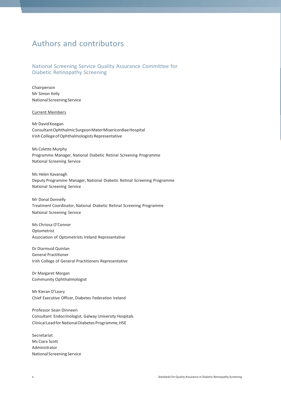## <span id="page-5-0"></span>Authors and contributors

#### National Screening Service Quality Assurance Committee for Diabetic Retinopathy Screening

Chairperson Mr Simon Kelly NationalScreening Service

#### Current Members

MrDavidKeegan ConsultantOphthalmicSurgeonMaterMisericordiaeHospital Irish College of Ophthalmologists Representative

Ms Colette Murphy Programme Manager, National Diabetic Retinal Screening Programme National Screening Service

Ms Helen Kavanagh Deputy Programme Manager, National Diabetic Retinal Screening Programme National Screening Service

Mr Donal Donnelly Treatment Coordinator, National Diabetic Retinal Screening Programme National Screening Service

Ms Chriosa O'Connor Optometrist Association of Optometrists Ireland Representative

Dr Diarmuid Quinlan General Practitioner Irish College of General Practitioners Representative

Dr Margaret Morgan Community Ophthalmologist

Mr Kieran O'Leary Chief Executive Officer, Diabetes Federation Ireland

Professor Sean Dinneen Consultant Endocrinologist, Galway University Hospitals Clinical Lead for National Diabetes Programme, HSE

Secretariat Ms Ciara Scott Administrator NationalScreening Service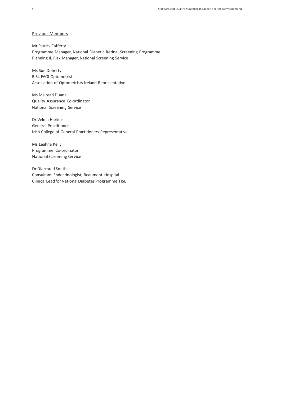#### Previous Members

Mr Patrick Cafferty Programme Manager, National Diabetic Retinal Screening Programme Planning & Risk Manager, National Screening Service

Ms Sue Doherty B.Sc FAOI Optometrist Association of Optometrists Ireland Representative

Ms Mairead Duane Quality Assurance Co-ordinator National Screening Service

Dr Velma Harkins General Practitioner Irish College of General Practitioners Representative

Ms Leahna Kelly Programme Co-ordinator NationalScreening Service

Dr Diarmuid Smith Consultant Endocrinologist, Beaumont Hospital Clinical Lead for National Diabetes Programme, HSE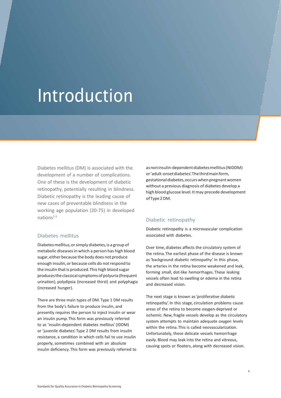## Introduction

Diabetes mellitus (DM) is associated with the development of a number of complications. One of these is the development of diabetic retinopathy, potentially resulting in blindness. Diabetic retinopathy is the leading cause of new cases of preventable blindness in the working age population (20-75) in developed nations<sup>1-3.</sup>

#### Diabetes mellitus

Diabetes mellitus, or simply diabetes, is a group of metabolic diseasesin which a person has high blood sugar,either because the body does not produce enough insulin, or because cells do not respond to the insulin that is produced. This high blood sugar produces the classical symptoms of polyuria (frequent urination), polydipsia (increased thirst) and polyphagia (increased hunger).

There are three main types of DM.Type 1 DM results from the body's failure to produce insulin, and presently requires the person to inject insulin or wear an insulin pump.This form was previously referred to as 'insulin-dependent diabetes mellitus' (IDDM) or 'juvenile diabetes'.Type 2 DM results from insulin resistance, a condition in which cells fail to use insulin properly, sometimes combined with an absolute insulin deficiency.This form was previously referred to asnoninsulin-dependentdiabetesmellitus(NIDDM) or'adult-onsetdiabetes'.Thethirdmainform, gestational diabetes, occurs when pregnant women without a previous diagnosis of diabetes develop a high blood glucose level.It may precede development ofType2DM.

#### Diabetic retinopathy

Diabetic retinopathy is a microvascular complication associated with diabetes.

Over time, diabetes affects the circulatory system of the retina.The earliest phase of the disease is known as'background diabetic retinopathy'. In this phase, the arteries in the retina become weakened and leak, forming small, dot-like hemorrhages. These leaking vessels often lead to swelling or edema in the retina and decreased vision.

The next stage is known as'proliferative diabetic retinopathy'. In this stage, circulation problems cause areas of the retina to become oxygen-deprived or ischemic. New, fragile vessels develop as the circulatory system attempts to maintain adequate oxygen levels within the retina.This is called neovascularization. Unfortunately, these delicate vessels hemorrhage easily. Blood may leak into the retina and vitreous, causing spots or floaters, along with decreased vision.

6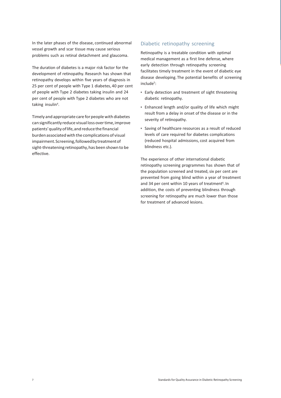In the later phases of the disease, continued abnormal vessel growth and scar tissue may cause serious problems such as retinal detachment and glaucoma.

The duration of diabetes is a major risk factor for the development of retinopathy. Research has shown that retinopathy develops within five years of diagnosis in 25 per cent of people with Type 1 diabetes, 40 per cent of people with Type 2 diabetes taking insulin and 24 per cent of people with Type 2 diabetes who are not taking insulin<sup>4</sup>.

Timely and appropriate care for people with diabetes can significantly reduce visual loss over time, improve patients' quality of life, and reduce the financial burden associated with the complications of visual impairment. Screening, followed by treatment of sight-threatening retinopathy, has been shown to be effective.

#### Diabetic retinopathy screening

Retinopathy is a treatable condition with optimal medical management as a first line defense, where early detection through retinopathy screening facilitates timely treatment in the event of diabetic eye disease developing.The potential benefits of screening include<sup>5</sup>:

- Early detection and treatment of sight threatening diabetic retinopathy.
- Enhanced length and/or quality of life which might result from a delay in onset of the disease or in the severity of retinopathy.
- Saving of healthcare resources as a result of reduced levels of care required for diabetes complications (reduced hospital admissions, cost acquired from blindness etc.).

The experience of other international diabetic retinopathy screening programmes has shown that of the population screened and treated, six per cent are prevented from going blind within a year of treatment and 34 per cent within 10 years of treatment $6$ . In addition, the costs of preventing blindness through screening for retinopathy are much lower than those for treatment of advanced lesions.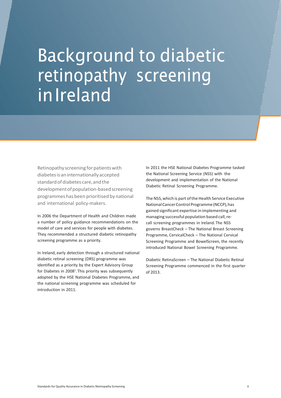## **Background to diabetic** retinopathy screening in Ireland

Retinopathy screening for patients with diabetesis aninternationallyaccepted standard of diabetes care, and the development of population-based screening programmeshas been prioritised by national and international policy-makers.

In 2006 the Department of Health and Children made a number of policy guidance recommendations on the model of care and services for people with diabetes. They recommended a structured diabetic retinopathy screening programme as a priority.

In Ireland, early detection through a structured national diabetic retinal screening (DRS) programme was identified as a priority by the Expert Advisory Group for Diabetes in 2008<sup>7</sup> . This priority was subsequently adopted by the HSE National Diabetes Programme, and the national screening programme was scheduled for introduction in 2011.

In 2011 the HSE National Diabetes Programme tasked the National Screening Service (NSS) with the development and implementation of the National Diabetic Retinal Screening Programme.

The NSS, which is part of the Health Service Executive National Cancer Control Programme (NCCP), has gained significant expertise in implementing and managing successful population based call,recall screening programmes in Ireland.The NSS governs BreastCheck – The National Breast Screening Programme, CervicalCheck – The National Cervical Screening Programme and BowelScreen, the recently introduced National Bowel Screening Programme.

Diabetic RetinaScreen – The National Diabetic Retinal Screening Programme commenced in the first quarter of 2013.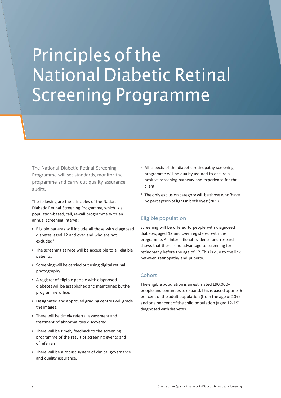## Principles of the National Diabetic Retinal Screening Programme

The National Diabetic Retinal Screening Programme will set standards, monitor the programme and carry out quality assurance audits.

The following are the principles of the National Diabetic Retinal Screening Programme, which is a population-based, call, re-call programme with an annual screening interval:

- Eligible patients will include all those with diagnosed diabetes, aged 12 and over and who are not excluded\*.
- The screening service will be accessible to all eligible patients.
- Screening will be carried out using digital retinal photography.
- A register of eligible people with diagnosed diabetes will be established and maintained by the programme office.
- Designated and approved grading centres will grade theimages.
- There will be timely referral, assessment and treatment of abnormalities discovered.
- There will be timely feedback to the screening programme of the result of screening events and ofreferrals.
- There will be a robust system of clinical governance and quality assurance.
- All aspects of the diabetic retinopathy screening programme will be quality assured to ensure a positive screening pathway and experience for the client.
- \* The only exclusion category will be those who'have no perception of light in both eyes' (NPL).

#### Eligible population

Screening will be offered to people with diagnosed diabetes, aged 12 and over, registered with the programme. All international evidence and research shows that there is no advantage to screening for retinopathy before the age of 12.This is due to the link between retinopathy and puberty.

#### **Cohort**

The eligible population is an estimated 190,000+ people and continues to expand. This is based upon 5.6 per cent of the adult population (from the age of 20+) and one per cent of the child population (aged 12-19) diagnosedwithdiabetes.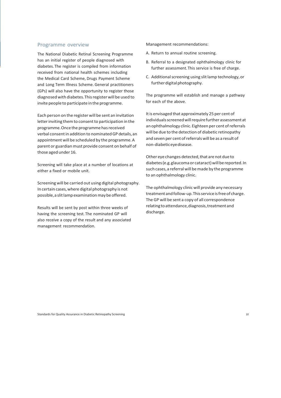#### Programme overview

The National Diabetic Retinal Screening Programme has an initial register of people diagnosed with diabetes.The register is compiled from information received from national health schemes including the Medical Card Scheme, Drugs Payment Scheme and Long Term Illness Scheme. General practitioners (GPs) will also have the opportunity to register those diagnosedwith diabetes.Thisregisterwill be used to invite people to participate in the programme.

Each person on the register will be sent an invitation letter inviting them to consent to participation in the programme.Oncethe programmehasreceived verbal consentin addition to nominatedGP details,an appointment will be scheduled by the programme.A parent or guardian must provide consent on behalf of those aged under 16.

Screening will take place at a number of locations at either a fixed or mobile unit.

Screening will be carried out using digital photography. In certain cases,where digital photography is not possible, a slit lamp examination may be offered.

Results will be sent by post within three weeks of having the screening test. The nominated GP will also receive a copy of the result and any associated management recommendation.

Management recommendations:

- A. Return to annual routine screening.
- B. Referral to a designated ophthalmology clinic for further assessment.This service is free of charge.
- C. Additionalscreening using slitlamp technology,or further digital photography.

The programme will establish and manage a pathway for each of the above.

It is envisaged that approximately 25 per cent of individuals screened will require further assessment at an ophthalmology clinic. Eighteen per cent of referrals will be due to the detection of diabetic retinopathy and seven per cent of referrals will be as a result of non-diabeticeyedisease.

Other eye changes detected, that are not due to diabetes (e.g. glaucoma or cataract) will be reported. In such cases, a referral will be made by the programme to an ophthalmology clinic.

The ophthalmology clinic will provide any necessary treatment and follow-up. This service is free of charge. TheGP will be sent a copy of all correspondence relatingtoattendance,diagnosis,treatmentand discharge.

Standards for Quality Assurance in Diabetic Retinopathy Screening 10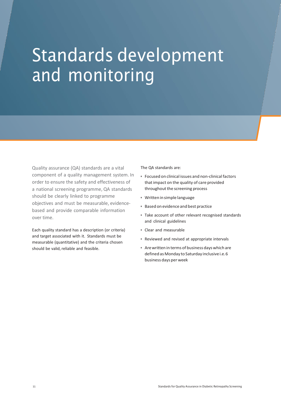## Standards development and monitoring

Quality assurance (QA) standards are a vital component of a quality management system. In order to ensure the safety and effectiveness of a national screening programme, QA standards should be clearly linked to programme objectives and must be measurable, evidencebased and provide comparable information over time.

Each quality standard has a description (or criteria) and target associated with it. Standards must be measurable (quantitative) and the criteria chosen should be valid, reliable and feasible.

The QA standards are:

- Focused on clinical issues and non-clinicalfactors thatimpact on the quality of care provided throughout the screening process
- Writteninsimple language
- Based on evidence and best practice
- Take account of other relevant recognised standards and clinical guidelines
- Clear and measurable
- Reviewed and revised at appropriate intervals
- Arewritten in terms of business dayswhich are defined as Monday to Saturday inclusive i.e. 6 business days per week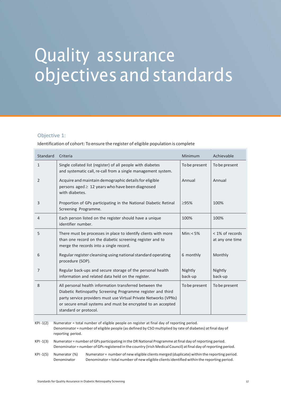## Quality assurance objectivesandstandards

#### Objective 1:

Identification of cohort: To ensure the register of eligible population is complete

| Standard | Criteria                                                                                                                                                                                                                                                                            | <b>Minimum</b>     | Achievable                         |
|----------|-------------------------------------------------------------------------------------------------------------------------------------------------------------------------------------------------------------------------------------------------------------------------------------|--------------------|------------------------------------|
| 1        | Single collated list (register) of all people with diabetes<br>and systematic call, re-call from a single management system.                                                                                                                                                        | To be present      | To be present                      |
| 2        | Acquire and maintain demographic details for eligible<br>persons aged $\geq 12$ years who have been diagnosed<br>with diabetes.                                                                                                                                                     | Annual             | Annual                             |
| 3        | Proportion of GPs participating in the National Diabetic Retinal<br>Screening Programme.                                                                                                                                                                                            | $\geq$ 95%         | 100%                               |
| 4        | Each person listed on the register should have a unique<br>identifier number.                                                                                                                                                                                                       | 100%               | 100%                               |
| 5        | There must be processes in place to identify clients with more<br>than one record on the diabetic screening register and to<br>merge the records into a single record.                                                                                                              | Min: $< 5\%$       | < 1% of records<br>at any one time |
| 6        | Regular register cleansing using national standard operating<br>procedure (SOP).                                                                                                                                                                                                    | 6 monthly          | Monthly                            |
| 7        | Regular back-ups and secure storage of the personal health<br>information and related data held on the register.                                                                                                                                                                    | Nightly<br>back-up | Nightly<br>back-up                 |
| 8        | All personal health information transferred between the<br>Diabetic Retinopathy Screening Programme register and third<br>party service providers must use Virtual Private Networks (VPNs)<br>or secure email systems and must be encrypted to an accepted<br>standard or protocol. | To be present      | To be present                      |
|          |                                                                                                                                                                                                                                                                                     |                    |                                    |

KPI -1(2) Numerator = total number of eligible people on register at final day of reporting period. Denominator = number of eligible people (as defined by CSO multiplied by rate of diabetes) atfinal day of reporting period.

KPI -1(3) Numerator = number of GPs participating in the DR National Programme atfinal day of reporting period. Denominator = number ofGPsregistered in the country (Irish Medical Council) atfinal day ofreporting period.

KPI -1(5) Numerator (%) Numerator = number of new eligible clientsmerged (duplicate) within the reporting period. Denominator Denominator = total number of new eligible clientsidentified within the reporting period.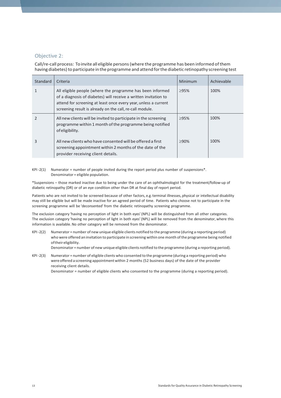#### Objective 2:

Call/re-call process: To invite all eligible persons(where the programme has been informed ofthem having diabetes) to participate in the programme and attend for the diabetic retinopathy screening test

| Standard | Criteria                                                                                                                                                                                                                                                      | Minimum | Achievable |
|----------|---------------------------------------------------------------------------------------------------------------------------------------------------------------------------------------------------------------------------------------------------------------|---------|------------|
|          | All eligible people (where the programme has been informed<br>of a diagnosis of diabetes) will receive a written invitation to<br>attend for screening at least once every year, unless a current<br>screening result is already on the call, re-call module. | >95%    | 100%       |
|          | All new clients will be invited to participate in the screening<br>programme within 1 month of the programme being notified<br>of eligibility.                                                                                                                | >95%    | 100%       |
| 3        | All new clients who have consented will be offered a first<br>screening appointment within 2 months of the date of the<br>provider receiving client details.                                                                                                  | $>90\%$ | 100%       |

KPI -2(1) Numerator = number of people invited during the report period plus number of suspensions\*. Denominator = eligible population.

\*Suspensions – those marked inactive due to being under the care of an ophthalmologist for the treatment/follow-up of diabetic retinopathy (DR) or of an eye condition other than DR at final day of report period.

Patients who are not invited to be screened because of other factors, e.g. terminal illnesses, physical or intellectual disability may still be eligible but will be made inactive for an agreed period of time. Patients who choose not to participate in the screening programme will be 'deconsented' from the diabetic retinopathy screening programme.

The exclusion category 'having no perception of light in both eyes'(NPL) will be distinguished from all other categories. The exclusion category 'having no perception of light in both eyes'(NPL) will be removed from the denominator, where this information is available.No other category will be removed from the denominator.

KPI -2(2) Numerator = number of new unique eligible clients notified to the programme (during a reporting period) who were offered an invitation to participate in screening within one month ofthe programme being notified oftheireligibility.

Denominator = number of new unique eligible clients notified to the programme (during a reporting period).

KPI -2(3) Numerator = number of eligible clients who consented to the programme (during a reporting period) who were offered a screening appointmentwithin 2 months (52 business days) of the date of the provider receiving client details.

Denominator = number of eligible clients who consented to the programme (during a reporting period).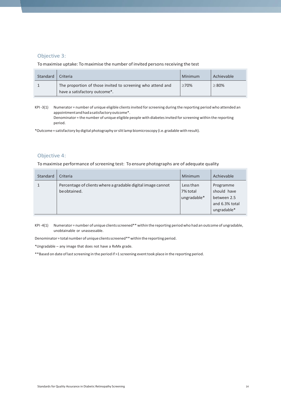#### Objective 3:

To maximise uptake: To maximise the number of invited persons receiving the test

| Standard | Criteria                                                                                                  | Minimum     | Achievable |
|----------|-----------------------------------------------------------------------------------------------------------|-------------|------------|
|          | The proportion of those invited to screening who attend and<br>have a satisfactory outcome <sup>*</sup> . | $\geq 70\%$ | $\geq$ 80% |

KPI -3(1) Numerator = number of unique eligible clients invited for screening during the reporting period who attended an appointmentandhadasatisfactoryoutcome\*. Denominator = the number of unique eligible people with diabetes invited for screening within the reporting period.

\*Outcome = satisfactory by digital photography orslitlamp biomicroscopy (i.e.gradable with result).

#### Objective 4:

To maximise performance of screening test: To ensure photographs are of adequate quality

| Standard | Criteria                                                                    | Minimum                              | Achievable                                                               |
|----------|-----------------------------------------------------------------------------|--------------------------------------|--------------------------------------------------------------------------|
|          | Percentage of clients where a gradable digital image cannot<br>be obtained. | Less than<br>7% total<br>ungradable* | Programme<br>should have<br>between 2.5<br>and 6.3% total<br>ungradable* |

 $KPI -4(1)$  Numerator = number of unique clients screened\*\* within the reporting period who had an outcome of ungradable, unobtainable or unassessable.

Denominator = total number of unique clients screened\*\* within the reporting period.

\*Ungradable – any image that does not have a RxMx grade.

\*\* Based on date of last screening in the period if >1 screening event took place in the reporting period.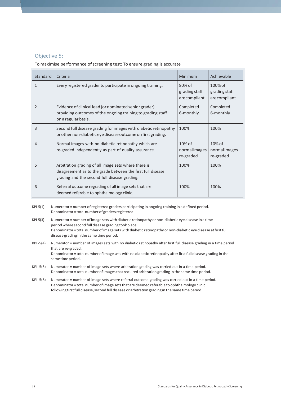#### Objective 5:

To maximise performance of screening test: To ensure grading is accurate

| Standard | Criteria                                                                                                                                                            | Minimum                                 | Achievable                                  |
|----------|---------------------------------------------------------------------------------------------------------------------------------------------------------------------|-----------------------------------------|---------------------------------------------|
| 1        | Every registered grader to participate in ongoing training.                                                                                                         | 80% of<br>grading staff<br>arecompliant | $100\%$ of<br>grading staff<br>arecompliant |
| 2        | Evidence of clinical lead (or nominated senior grader)<br>providing outcomes of the ongoing training to grading staff<br>on a regular basis.                        | Completed<br>6-monthly                  | Completed<br>6-monthly                      |
| 3        | Second full disease grading for images with diabetic retinopathy<br>or other non-diabetic eye disease outcome on first grading.                                     | 100%                                    | 100%                                        |
| 4        | Normal images with no diabetic retinopathy which are<br>re-graded independently as part of quality assurance.                                                       | $10\%$ of<br>normalimages<br>re-graded  | 10% of<br>normalimages<br>re-graded         |
| 5        | Arbitration grading of all image sets where there is<br>disagreement as to the grade between the first full disease<br>grading and the second full disease grading. | 100%                                    | 100%                                        |
| 6        | Referral outcome regrading of all image sets that are<br>deemed referable to ophthalmology clinic.                                                                  | 100%                                    | 100%                                        |

KPI-5(1) Numerator = number of registered graders participating in ongoing training in a defined period. Denominator = total number of graders registered.

- KPI-5(3) Numerator = number ofimage sets with diabetic retinopathy or non-diabetic eye disease in a time period where second full disease grading took place. Denominator = total number ofimage sets with diabetic retinopathy or non-diabetic eye disease atfirstfull disease grading in the same time period.
- KPI -5(4) Numerator = number of images sets with no diabetic retinopathy after first full disease grading in a time period that are re-graded. Denominator = total number of image sets with no diabetic retinopathy after first full disease grading in the same time period.

KPI -5(5) Numerator = number of image sets where arbitration grading was carried out in a time period. Denominator = total number of images that required arbitration grading in the same time period.

KPI -5(6) Numerator = number of image sets where referral outcome grading was carried out in a time period. Denominator = total number of image sets that are deemed referable to ophthalmology clinic following first full disease, second full disease or arbitration grading in the same time period.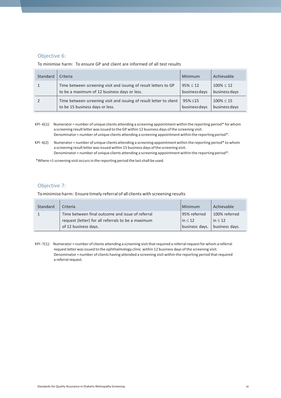#### Objective 6:

To minimise harm: To ensure GP and client are informed of all test results

| Standard | Criteria                                                            | Minimum       | Achievable     |
|----------|---------------------------------------------------------------------|---------------|----------------|
|          | Time between screening visit and issuing of result letters to GP    | $95\% \le 12$ | $100\% \le 12$ |
|          | to be a maximum of 12 business days or less.                        | business days | business days  |
|          | Time between screening visit and issuing of result letter to client | $95\% \le 15$ | $100\% \le 15$ |
|          | to be 15 business days or less.                                     | business days | business days  |

- KPI -6(1): Numerator = number of unique clients attending a screening appointment within the reporting period\* for whom a screening result letter was issued to the GP within 12 business days of the screening visit. Denominator = number of unique clients attending a screening appointment within the reporting period\*.
- KPI -6(2) Numerator = number of unique clients attending a screening appointment within the reporting period\* to whom a screening result letter was issued within 15 business days of the screening visit. Denominator = number of unique clients attending a screening appointment within the reporting period\*.

\*Where >1 screening visit occursin the reporting period the lastshall be used.

#### Objective 7:

Tominimise harm: Ensure timely referral of all clients with screening results

| Standard | Criteria                                           | Minimum        | Achievable     |
|----------|----------------------------------------------------|----------------|----------------|
|          | Time between final outcome and issue of referral   | 95% referred   | 100% referred  |
|          | request (letter) for all referrals to be a maximum | $\ln \leq 12$  | in $\leq 12$   |
|          | of 12 business days.                               | business days. | business days. |

 $KPI-7(1)$ : Numerator = number of clients attending a screening visit that required a referral request for whom a referral requestletter wasissued to the ophthalmology clinic within 12 business days ofthe screening visit. Denominator = number of clients having attended a screening visit within the reporting period that required a referral request.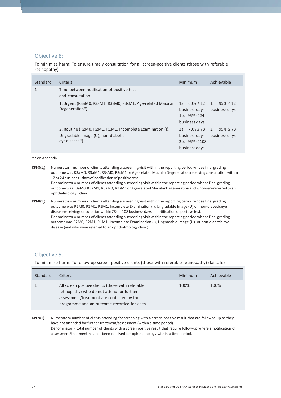#### Objective 8:

To minimise harm: To ensure timely consultation for all screen-positive clients (those with referable retinopathy)

| Standard | Criteria                                                                                                          | Minimum                                                                   | Achievable                                       |
|----------|-------------------------------------------------------------------------------------------------------------------|---------------------------------------------------------------------------|--------------------------------------------------|
|          | Time between notification of positive test<br>and consultation.                                                   |                                                                           |                                                  |
|          | 1. Urgent (R3aM0, R3aM1, R3sM0, R3sM1, Age-related Macular<br>Degeneration*).                                     | 1a. $60\% \le 12$<br>business days<br>1b. $95\% \leq 24$<br>business days | 1 <sub>1</sub><br>$95\% \le 12$<br>business days |
|          | 2. Routine (R2M0, R2M1, R1M1, Incomplete Examination (I),<br>Ungradable Image (U), non-diabetic<br>eye disease*). | 2a. $70\% \le 78$<br>business days<br>2b. $95\% \le 108$<br>business days | 2.<br>$95\% \le 78$<br>business days             |

#### \* See Appendix

- $KPI-8(1,1)$ ) Numerator = number of clients attending a screening visit within the reporting period whose final grading outcomewas R3aM0, R3aM1, R3sM0, R3sM1 or Age-relatedMacularDegenerationreceivingconsultationwithin 12 or 24 business days of notification of positive test. Denominator = number of clients attending a screening visit within the reporting period whose final grading outcome was R3aM0, R3aM1, R3sM0, R3sM1 or Age-related Macular Degeneration and who were referred to an ophthalmology clinic.
- $KPI-8(1,)$ ) Numerator = number of clients attending a screening visit within the reporting period whose final grading outcome was R2M0, R2M1, R1M1, Incomplete Examination (I), Ungradable Image (U) or non-diabeticeye diseasereceivingconsultationwithin78or 108 business days of notification of positive test. Denominator = number of clients attending a screening visit within the reporting period whose final grading outcome was R2M0, R2M1, R1M1, Incomplete Examination (I), Ungradable Image (U) or non-diabetic eye disease (and who were referred to an ophthalmology clinic).

#### Objective 9:

To minimise harm: To follow-up screen positive clients (those with referable retinopathy) (failsafe)

| Standard | Criteria                                                                                                                                                                                    | Minimum | Achievable |
|----------|---------------------------------------------------------------------------------------------------------------------------------------------------------------------------------------------|---------|------------|
|          | All screen positive clients (those with referable<br>retinopathy) who do not attend for further<br>assessment/treatment are contacted by the<br>programme and an outcome recorded for each. | 100%    | 100%       |

KPI-9(1) Numerator= number of clients attending for screening with a screen positive result that are followed-up as they have not attended for further treatment/assessment (within a time period). Denominator = total number of clients with a screen positive result that require follow-up where a notification of assessment/treatment has not been received for ophthalmology within a time period.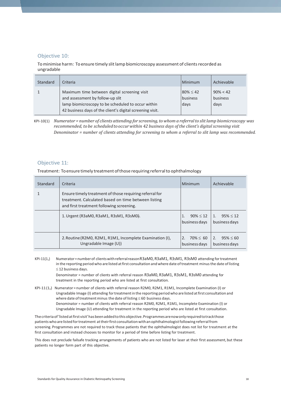#### Objective 10:

To minimise harm: To ensure timely slit lamp biomicroscopy assessment of clients recorded as ungradable

| Standard | Criteria                                                                                                                                                                                            | Minimum                            | Achievable                      |
|----------|-----------------------------------------------------------------------------------------------------------------------------------------------------------------------------------------------------|------------------------------------|---------------------------------|
|          | Maximum time between digital screening visit<br>and assessment by follow-up slit<br>lamp biomicroscopy to be scheduled to occur within<br>42 business days of the client's digital screening visit. | $80\% \leq 42$<br>business<br>days | $90\% < 42$<br>business<br>days |

KPI-10(1) *Numerator = number of clients attending for screening,to whoma referralto slitlamp biomicroscopy was recommended, to be scheduledtooccurwithin 42 business days of the client's digital screening visit Denominator = number of clients attending for screening to whom a referral to slit lamp was recommended.*

#### Objective 11:

Treatment: Toensure timely treatmentofthose requiring referralto ophthalmology

| Standard | Criteria                                                                                                                                                                                              | Minimum                                                                   | Achievable                                             |
|----------|-------------------------------------------------------------------------------------------------------------------------------------------------------------------------------------------------------|---------------------------------------------------------------------------|--------------------------------------------------------|
|          | Ensure timely treatment of those requiring referral for<br>treatment. Calculated based on time between listing<br>and first treatment following screening.<br>1. Urgent (R3aM0, R3aM1, R3sM1, R3sM0). | $90\% \le 12$                                                             | $95\% < 12$<br>$\mathbf{1}$ .                          |
|          | 2. Routine (R2M0, R2M1, R1M1, Incomplete Examination (I),<br>Ungradable Image (U))                                                                                                                    | business days<br>$70\% \leq 60$<br>$\mathcal{P}_{\cdot}$<br>business days | business days<br>2.<br>$95\% \leq 60$<br>business days |

KPI-11(1<sub>1</sub>) Numerator=number of clients with referral reason R3aM0, R3aM1, R3sM1, R3sM0 attending for treatment in the reporting period who are listed at first consultation and where date of treatment minus the date of listing  $\leq$  12 business days.

Denominator = number of clients with referral reason R3aM0, R3aM1, R3sM1, R3sM0 attending for treatment in the reporting period who are listed at first consultation.

KPI-11(12) Numerator = number of clients with referral reason R2M0, R2M1, R1M1, Incomplete Examination (I) or Ungradable Image (I) attending for treatment in the reporting period who are listed at first consultation and where date of treatment minus the date of listing  $\leq$  60 business days. Denominator = number of clients with referral reason R2M0, R2M1, R1M1, Incomplete Examination (I) or Ungradable Image (U) attending for treatment in the reporting period who are listed at first consultation.

The criteria of 'listed at first visit' has been added to this objective. Programmes are now only required to track those patients who are listed for treatment at their first consultation with an ophthalmologist following referral from screening. Programmes are not required to track those patients that the ophthalmologist does not list for treatment at the first consultation and instead chooses to monitor for a period of time before listing for treatment.

This does not preclude failsafe tracking arrangements of patients who are not listed for laser at their first assessment, but these patients no longer form part of this objective.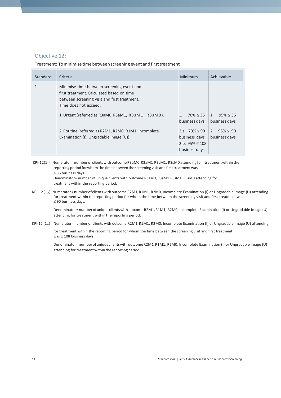#### Objective 12:

Treatment: To minimise time between screening event and first treatment

| Standard | Criteria                                                                                                                                                        | Minimum                                                                     | Achievable                                        |
|----------|-----------------------------------------------------------------------------------------------------------------------------------------------------------------|-----------------------------------------------------------------------------|---------------------------------------------------|
|          | Minimise time between screening event and<br>first treatment. Calculated based on time<br>between screening visit and first treatment.<br>Time does not exceed: |                                                                             |                                                   |
|          | 1. Urgent (referred as R3aM0, R3aM1, R3sM1, R3sM0).                                                                                                             | $70\% \leq 36$<br>1.<br>business days                                       | 1 <sub>1</sub><br>$95\% \leq 36$<br>business days |
|          | 2. Routine (referred as R2M1, R2M0, R1M1, Incomplete<br>Examination (I), Ungradable Image (U)).                                                                 | 2.a. $70\% \le 90$<br>business days<br>2.b. $95\% \le 108$<br>business days | 2. $95\% \leq 90$<br>business days                |

KPI-12(1<sub>1</sub>) Numerator = number of clients with outcome R3aM0, R3aM1 R3sM1, R3sM0 attending for treatment within the reporting period for whom the time between the screening visit and first treatment was  $\leq$  36 business days. Denominator= number of unique clients with outcome R3aM0, R3aM1 R3sM1, R3sM0 attending for treatment within the reporting period.

KPI-12(12a) Numerator = number of clientswith outcome R2M1,R1M1, R2M0, Incomplete Examination (I) or Ungradable Image (U) attending for treatment within the reporting period for whom the time between the screening visit and first treatment was  $\leq$  90 business days.

Denominator=numberofuniqueclientswithoutcomeR2M1,R1M1, R2M0, Incomplete Examination (I) or Ungradable Image (U) attending for treatment within the reporting period.

KPI-12  $(1_{2b})$  Numerator= number of clients with outcome R2M1, R1M1, R2M0, Incomplete Examination (I) or Ungradable Image (U) attending

for treatment within the reporting period for whom the time between the screening visit and first treatment was  $\leq 108$  business days.

Denominator=numberofuniqueclientswithoutcomeR2M1,R1M1, R2M0, Incomplete Examination (I) or Ungradable Image (U) attending for treatment within the reporting period.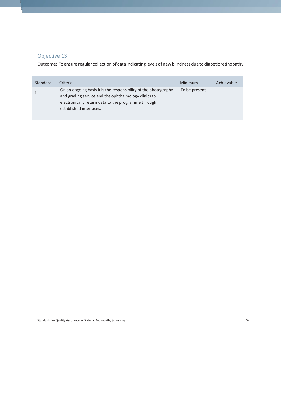### Objective 13:

Outcome: To ensure regular collection of data indicating levels of new blindness due to diabetic retinopathy

| Standard | Criteria                                                                                                                                                                                                  | Minimum       | Achievable |
|----------|-----------------------------------------------------------------------------------------------------------------------------------------------------------------------------------------------------------|---------------|------------|
|          | On an ongoing basis it is the responsibility of the photography<br>and grading service and the ophthalmology clinics to<br>electronically return data to the programme through<br>established interfaces. | To be present |            |

Standards for Quality Assurance in Diabetic Retinopathy Screening 20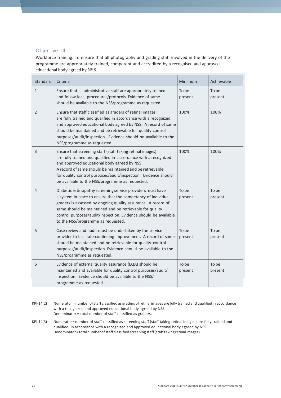#### Objective 14:

Workforce training: To ensure that all photography and grading staff involved in the delivery of the programme are appropriately trained, competent and accredited by a recognised and approved educational body agreed by NSS.

| Standard     | Criteria                                                                                                                                                                                                                                                                                                                                                          | Minimum          | Achievable       |
|--------------|-------------------------------------------------------------------------------------------------------------------------------------------------------------------------------------------------------------------------------------------------------------------------------------------------------------------------------------------------------------------|------------------|------------------|
| $\mathbf{1}$ | Ensure that all administrative staff are appropriately trained<br>and follow local procedures/protocols. Evidence of same<br>should be available to the NSS/programme as requested.                                                                                                                                                                               | To be<br>present | To be<br>present |
| 2            | Ensure that staff classified as graders of retinal images<br>are fully trained and qualified in accordance with a recognized<br>and approved educational body agreed by NSS. A record of same<br>should be maintained and be retrievable for quality control<br>purposes/audit/inspection. Evidence should be available to the<br>NSS/programme as requested.     | 100%             | 100%             |
| 3            | Ensure that screening staff (staff taking retinal images)<br>are fully trained and qualified in accordance with a recognized<br>and approved educational body agreed by NSS.<br>A record of same should be maintained and be retrievable<br>for quality control purposes/audit/inspection. Evidence should<br>be available to the NSS/programme as requested.     | 100%             | 100%             |
| 4            | Diabetic retinopathy screening service providers must have<br>a system in place to ensure that the competency of individual<br>graders is assessed by ongoing quality assurance. A record of<br>same should be maintained and be retrievable for quality<br>control purposes/audit/inspection. Evidence should be available<br>to the NSS/programme as requested. | To be<br>present | To be<br>present |
| 5            | Case review and audit must be undertaken by the service<br>provider to facilitate continuing improvement. A record of same<br>should be maintained and be retrievable for quality control<br>purposes/audit/inspection. Evidence should be available to the<br>NSS/programme as requested.                                                                        | To be<br>present | To be<br>present |
| 6            | Evidence of external quality assurance (EQA) should be<br>maintained and available for quality control purposes/audit/<br>inspection. Evidence should be available to the NSS/<br>programme as requested.                                                                                                                                                         | To be<br>present | To be<br>present |

- KPI-14(2) Numerator = number ofstaff classified as graders ofretinal images are fully trained and qualified in accordance with a recognized and approved educational body agreed by NSS. Denominator = total number of staff classified as graders.
- KPI-14(3) Numerator= number of staff classified as screening staff (staff taking retinal images) are fully trained and qualified in accordance with a recognized and approved educational body agreed by NSS. Denominator = total number of staff classified screening staff (staff taking retinal images).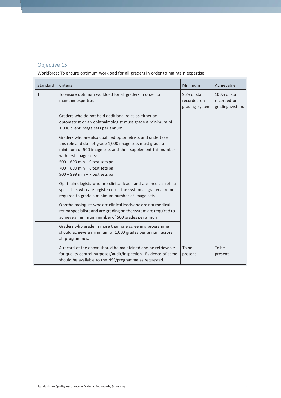### Objective 15:

Workforce: To ensure optimum workload for all graders in order to maintain expertise

| Standard     | Criteria                                                                                                                                                                                                                                                                                                             | Minimum                                        | Achievable                                      |
|--------------|----------------------------------------------------------------------------------------------------------------------------------------------------------------------------------------------------------------------------------------------------------------------------------------------------------------------|------------------------------------------------|-------------------------------------------------|
| $\mathbf{1}$ | To ensure optimum workload for all graders in order to<br>maintain expertise.                                                                                                                                                                                                                                        | 95% of staff<br>recorded on<br>grading system. | 100% of staff<br>recorded on<br>grading system. |
|              | Graders who do not hold additional roles as either an<br>optometrist or an ophthalmologist must grade a minimum of<br>1,000 client image sets per annum.                                                                                                                                                             |                                                |                                                 |
|              | Graders who are also qualified optometrists and undertake<br>this role and do not grade 1,000 image sets must grade a<br>minimum of 500 image sets and then supplement this number<br>with test image sets:<br>$500 - 699$ min $-9$ test sets pa<br>700 - 899 min - 8 test sets pa<br>900 - 999 min - 7 test sets pa |                                                |                                                 |
|              | Ophthalmologists who are clinical leads and are medical retina<br>specialists who are registered on the system as graders are not<br>required to grade a minimum number of image sets.                                                                                                                               |                                                |                                                 |
|              | Ophthalmologists who are clinical leads and are not medical<br>retina specialists and are grading on the system are required to<br>achieve a minimum number of 500 grades per annum.                                                                                                                                 |                                                |                                                 |
|              | Graders who grade in more than one screening programme<br>should achieve a minimum of 1,000 grades per annum across<br>all programmes.                                                                                                                                                                               |                                                |                                                 |
|              | A record of the above should be maintained and be retrievable<br>for quality control purposes/audit/inspection. Evidence of same<br>should be available to the NSS/programme as requested.                                                                                                                           | To be<br>present                               | To be<br>present                                |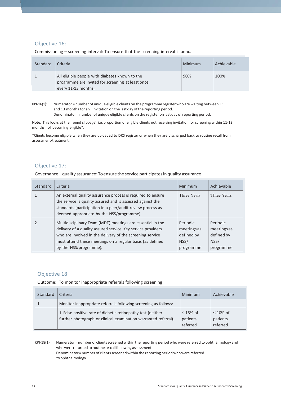### Objective 16:

| Standard | Criteria                                                                                                                   | Minimum | Achievable |
|----------|----------------------------------------------------------------------------------------------------------------------------|---------|------------|
|          | All eligible people with diabetes known to the<br>programme are invited for screening at least once<br>every 11-13 months. | 90%     | 100%       |

Commissioning – screening interval: To ensure that the screening interval is annual

Note: This looks at the 'round slippage' i.e. proportion of eligible clients not receiving invitation for screening within 11-13 months of becoming eligible\*.

\*Clients become eligible when they are uploaded to DRS register or when they are discharged back to routine recall from assessment/treatment.

#### Objective 17:

Governance– quality assurance: Toensure the service participatesin quality assurance

| Standard | Criteria                                                                                                                                                                                                                                                                       | Minimum                                                           | Achievable                                                 |
|----------|--------------------------------------------------------------------------------------------------------------------------------------------------------------------------------------------------------------------------------------------------------------------------------|-------------------------------------------------------------------|------------------------------------------------------------|
|          | An external quality assurance process is required to ensure<br>the service is quality assured and is assessed against the<br>standards (participation in a peer/audit review process as<br>deemed appropriate by the NSS/programme).                                           | Three Years                                                       | Three Years                                                |
|          | Multidisciplinary Team (MDT) meetings are essential in the<br>delivery of a quality assured service. Key service providers<br>who are involved in the delivery of the screening service<br>must attend these meetings on a regular basis (as defined<br>by the NSS/programme). | <b>Periodic</b><br>meetings as<br>defined by<br>NSS/<br>programme | Periodic<br>meetings as<br>defined by<br>NSS/<br>programme |

#### Objective 18:

Outcome: To monitor inappropriate referrals following screening

| Standard | Criteria                                                                                                                        | Minimum                               | Achievable                             |
|----------|---------------------------------------------------------------------------------------------------------------------------------|---------------------------------------|----------------------------------------|
|          | Monitor inappropriate referrals following screening as follows:                                                                 |                                       |                                        |
|          | 1. False positive rate of diabetic retinopathy test (neither<br>further photograph or clinical examination warranted referral). | $\leq$ 15% of<br>patients<br>referred | $\leq 10\%$ of<br>patients<br>referred |

KPI-18(1) Numerator = number of clientsscreened within the reporting period who were referred to ophthalmology and who were returned to routine re-call following assessment. Denominator = number of clientsscreened within the reporting period who were referred to ophthalmology.

KPI-16(1): Numerator = number of unique eligible clients on the programme register who are waiting between 11 and 13 months for an invitation on the last day of the reporting period. Denominator = number of unique eligible clients on the register on last day of reporting period.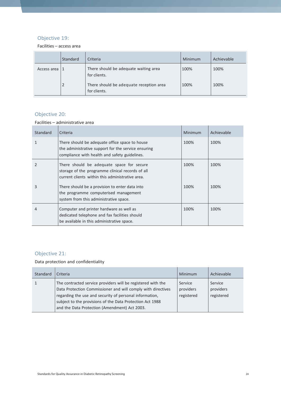### Objective 19:

Facilities – access area

|             | Standard | Criteria                                                | Minimum | Achievable |
|-------------|----------|---------------------------------------------------------|---------|------------|
| Access area |          | There should be adequate waiting area<br>for clients.   | 100%    | 100%       |
|             |          | There should be adequate reception area<br>for clients. | 100%    | 100%       |

### Objective 20:

Facilities – administrative area

| <b>Standard</b> | Criteria                                                                                                                                               | Minimum | Achievable |
|-----------------|--------------------------------------------------------------------------------------------------------------------------------------------------------|---------|------------|
|                 | There should be adequate office space to house<br>the administrative support for the service ensuring<br>compliance with health and safety guidelines. | 100%    | 100%       |
|                 | There should be adequate space for secure<br>storage of the programme clinical records of all<br>current clients within this administrative area.      | 100%    | 100%       |
| 3               | There should be a provision to enter data into<br>the programme computerised management<br>system from this administrative space.                      | 100%    | 100%       |
| 4               | Computer and printer hardware as well as<br>dedicated telephone and fax facilities should<br>be available in this administrative space.                | 100%    | 100%       |

### Objective 21:

Data protection and confidentiality

| Standard | Criteria                                                                                                                                                                                                                                                                                              | Minimum                            | Achievable                         |
|----------|-------------------------------------------------------------------------------------------------------------------------------------------------------------------------------------------------------------------------------------------------------------------------------------------------------|------------------------------------|------------------------------------|
|          | The contracted service providers will be registered with the<br>Data Protection Commissioner and will comply with directives<br>regarding the use and security of personal information,<br>subject to the provisions of the Data Protection Act 1988<br>and the Data Protection (Amendment) Act 2003. | Service<br>providers<br>registered | Service<br>providers<br>registered |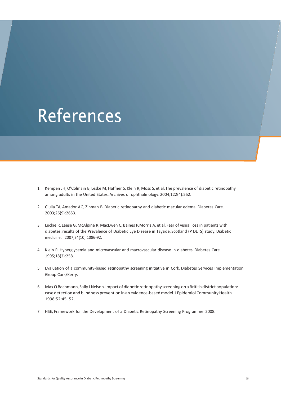## **References**

- 1. Kempen JH, O'Colmain B, Leske M, Haffner S, Klein R, Moss S, et al.The prevalence of diabetic retinopathy among adults in the United States. Archives of ophthalmology. 2004;122(4):552.
- 2. Ciulla TA, Amador AG, Zinman B. Diabetic retinopathy and diabetic macular edema. Diabetes Care. 2003;26(9):2653.
- 3. Luckie R, Leese G, McAlpine R, MacEwen C, Baines P,Morris A, et al. Fear of visual loss in patients with diabetes:results of the Prevalence of Diabetic Eye Disease in Tayside, Scotland (P DETS) study.Diabetic medicine. 2007;24(10):1086-92.
- 4. Klein R. Hyperglycemia and microvascular and macrovascular disease in diabetes. Diabetes Care. 1995;18(2):258.
- 5. Evaluation of a community-based retinopathy screening initiative in Cork, Diabetes Services Implementation Group Cork/Kerry.
- 6. MaxOBachmann,Sally JNelson.Impact ofdiabetic retinopathy screening ona British district population: case detection and blindness prevention in an evidence-based model. J Epidemiol Community Health 1998;52:45–52.
- 7. HSE, Framework for the Development of a Diabetic Retinopathy Screening Programme. 2008.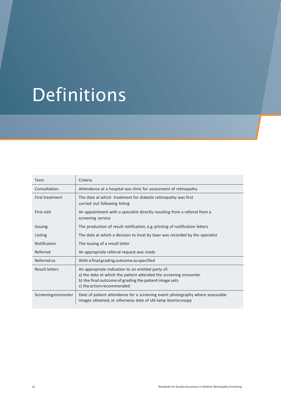## Definitions

| Term                | Criteria                                                                                                                                                                                                       |
|---------------------|----------------------------------------------------------------------------------------------------------------------------------------------------------------------------------------------------------------|
| Consultation        | Attendance at a hospital eye clinic for assessment of retinopathy                                                                                                                                              |
| First treatment     | The date at which treatment for diabetic retinopathy was first<br>carried out following listing                                                                                                                |
| First visit         | An appointment with a specialist directly resulting from a referral from a<br>screening service                                                                                                                |
| <b>Issuing</b>      | The production of result notification, e.g. printing of notification letters                                                                                                                                   |
| Listing             | The date at which a decision to treat by laser was recorded by the specialist                                                                                                                                  |
| <b>Notification</b> | The issuing of a result letter                                                                                                                                                                                 |
| Referred            | An appropriate referral request was made                                                                                                                                                                       |
| Referred as         | With a final grading outcome as specified                                                                                                                                                                      |
| Result letters      | An appropriate indication to an entitled party of:<br>a) the date at which the patient attended the screening encounter<br>b) the final outcome of grading the patient image sets<br>c) the action recommended |
| Screeningencounter  | Date of patient attendance for a screening event: photography where assessable<br>images obtained, or otherwise date of slit-lamp biomicrosopy                                                                 |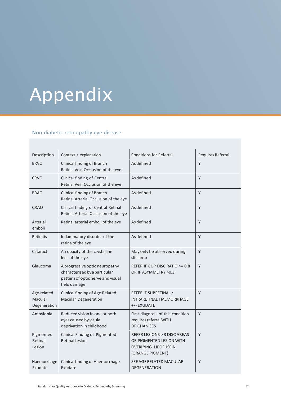# Appendix

### Non-diabetic retinopathy eye disease

| Description                            | Context / explanation                                                                                                | <b>Conditions for Referral</b>                                                                       | Requires Referral |
|----------------------------------------|----------------------------------------------------------------------------------------------------------------------|------------------------------------------------------------------------------------------------------|-------------------|
| <b>BRVO</b>                            | Clinical finding of Branch<br>Retinal Vein Occlusion of the eye                                                      | As defined                                                                                           | Y                 |
| <b>CRVO</b>                            | Clinical finding of Central<br>Retinal Vein Occlusion of the eye                                                     | As defined                                                                                           | Y                 |
| <b>BRAO</b>                            | Clinical finding of Branch<br>Retinal Arterial Occlusion of the eye                                                  | As defined                                                                                           | Y                 |
| <b>CRAO</b>                            | Clinical finding of Central Retinal<br>Retinal Arterial Occlusion of the eye                                         | As defined                                                                                           | Y                 |
| Arterial<br>emboli                     | Retinal arterial emboli of the eye                                                                                   | As defined                                                                                           | Y                 |
| Retinitis                              | Inflammatory disorder of the<br>retina of the eye                                                                    | As defined                                                                                           | Y                 |
| Cataract                               | An opacity of the crystalline<br>lens of the eye                                                                     | May only be observed during<br>slit lamp                                                             | Y                 |
| Glaucoma                               | A progressive optic neuropathy<br>characterised by a particular<br>pattern of optic nerve and visual<br>field damage | REFER IF CUP DISC RATIO $>= 0.8$<br>OR IF ASYMMETRY > 0.3                                            | Y                 |
| Age-related<br>Macular<br>Degeneration | Clinical finding of Age Related<br>Macular Degeneration                                                              | REFER IF SUBRETINAL /<br>INTRARETINAL HAEMORRHAGE<br>+/- EXUDATE                                     | Y                 |
| Ambylopia                              | Reduced vision in one or both<br>eyes caused by visula<br>deprivation in childhood                                   | First diagnosis of this condition<br>requires referral WITH<br><b>DR CHANGES</b>                     | Y                 |
| Pigmented<br>Retinal<br>Lesion         | Clinical Finding of Pigmented<br><b>Retinal Lesion</b>                                                               | REFER LESIONS > 3 DISC AREAS<br>OR PIGMENTED LESION WITH<br>OVERLYING LIPOFUSCIN<br>(ORANGE PIGMENT) | Y                 |
| Haemorrhage<br>Exudate                 | Clinical finding of Haemorrhage<br>Exudate                                                                           | SEE AGE RELATED MACULAR<br><b>DEGENERATION</b>                                                       | Y                 |